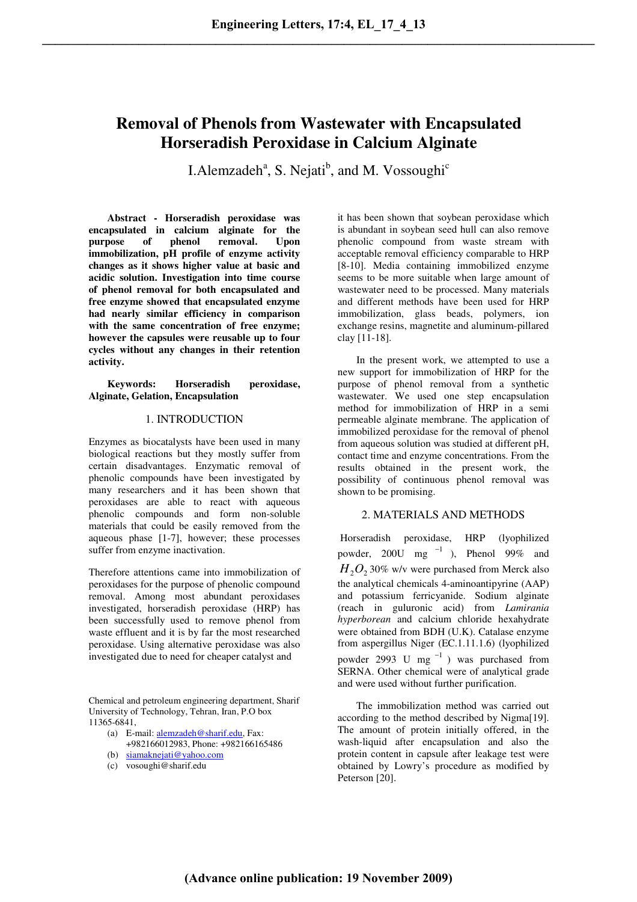# **Removal of Phenols from Wastewater with Encapsulated Horseradish Peroxidase in Calcium Alginate**

I. Alemzadeh<sup>a</sup>, S. Nejati<sup>b</sup>, and M. Vossoughi<sup>c</sup>

**Abstract - Horseradish peroxidase was encapsulated in calcium alginate for the purpose of phenol removal. Upon immobilization, pH profile of enzyme activity changes as it shows higher value at basic and acidic solution. Investigation into time course of phenol removal for both encapsulated and free enzyme showed that encapsulated enzyme had nearly similar efficiency in comparison with the same concentration of free enzyme; however the capsules were reusable up to four cycles without any changes in their retention activity.** 

## **Keywords: Horseradish peroxidase, Alginate, Gelation, Encapsulation**

# 1. INTRODUCTION

Enzymes as biocatalysts have been used in many biological reactions but they mostly suffer from certain disadvantages. Enzymatic removal of phenolic compounds have been investigated by many researchers and it has been shown that peroxidases are able to react with aqueous phenolic compounds and form non-soluble materials that could be easily removed from the aqueous phase [1-7], however; these processes suffer from enzyme inactivation.

Therefore attentions came into immobilization of peroxidases for the purpose of phenolic compound removal. Among most abundant peroxidases investigated, horseradish peroxidase (HRP) has been successfully used to remove phenol from waste effluent and it is by far the most researched peroxidase. Using alternative peroxidase was also investigated due to need for cheaper catalyst and

Chemical and petroleum engineering department, Sharif University of Technology, Tehran, Iran, P.O box 11365-6841,

- (a) E-mail: alemzadeh@sharif.edu, Fax: +982166012983, Phone: +982166165486
- (b) siamaknejati@yahoo.com
- (c) vosoughi@sharif.edu

it has been shown that soybean peroxidase which is abundant in soybean seed hull can also remove phenolic compound from waste stream with acceptable removal efficiency comparable to HRP [8-10]. Media containing immobilized enzyme seems to be more suitable when large amount of wastewater need to be processed. Many materials and different methods have been used for HRP immobilization, glass beads, polymers, ion exchange resins, magnetite and aluminum-pillared clay [11-18].

In the present work, we attempted to use a new support for immobilization of HRP for the purpose of phenol removal from a synthetic wastewater. We used one step encapsulation method for immobilization of HRP in a semi permeable alginate membrane. The application of immobilized peroxidase for the removal of phenol from aqueous solution was studied at different pH, contact time and enzyme concentrations. From the results obtained in the present work, the possibility of continuous phenol removal was shown to be promising.

# 2. MATERIALS AND METHODS

Horseradish peroxidase, HRP (lyophilized powder, 200U mg  $^{-1}$  ), Phenol 99% and  $H_2O_2$  30% w/v were purchased from Merck also the analytical chemicals 4-aminoantipyrine (AAP) and potassium ferricyanide. Sodium alginate (reach in guluronic acid) from *Lamirania hyperborean* and calcium chloride hexahydrate were obtained from BDH (U.K). Catalase enzyme from aspergillus Niger (EC.1.11.1.6) (lyophilized powder 2993 U mg<sup>-1</sup>) was purchased from SERNA. Other chemical were of analytical grade and were used without further purification.

The immobilization method was carried out according to the method described by Nigma[19]. The amount of protein initially offered, in the wash-liquid after encapsulation and also the protein content in capsule after leakage test were obtained by Lowry's procedure as modified by Peterson [20].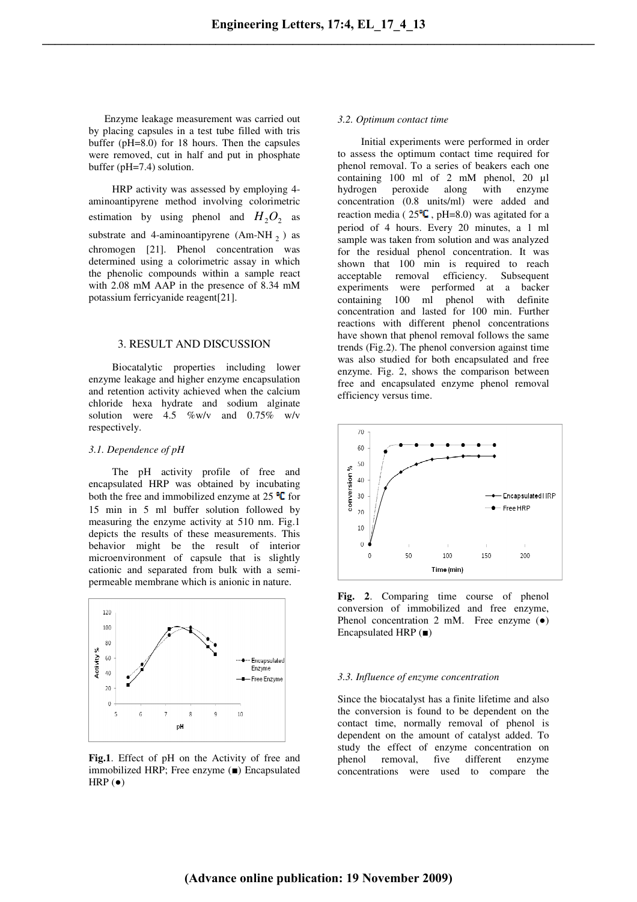Enzyme leakage measurement was carried out by placing capsules in a test tube filled with tris buffer (pH=8.0) for 18 hours. Then the capsules were removed, cut in half and put in phosphate buffer (pH=7.4) solution.

HRP activity was assessed by employing 4 aminoantipyrene method involving colorimetric estimation by using phenol and  $H_2O_2$  as substrate and 4-aminoantipyrene  $(Am-NH_2)$  as chromogen [21]. Phenol concentration was determined using a colorimetric assay in which the phenolic compounds within a sample react with 2.08 mM AAP in the presence of 8.34 mM potassium ferricyanide reagent[21].

#### 3. RESULT AND DISCUSSION

Biocatalytic properties including lower enzyme leakage and higher enzyme encapsulation and retention activity achieved when the calcium chloride hexa hydrate and sodium alginate solution were  $4.5 \,$  %w/v and  $0.75\%$  w/v respectively.

### *3.1. Dependence of pH*

The pH activity profile of free and encapsulated HRP was obtained by incubating both the free and immobilized enzyme at  $25 \text{ °C}$  for 15 min in 5 ml buffer solution followed by measuring the enzyme activity at 510 nm. Fig.1 depicts the results of these measurements. This behavior might be the result of interior microenvironment of capsule that is slightly cationic and separated from bulk with a semipermeable membrane which is anionic in nature.



**Fig.1**. Effect of pH on the Activity of free and immobilized HRP; Free enzyme (■) Encapsulated  $HRP$  ( $\bullet$ )

#### *3.2. Optimum contact time*

Initial experiments were performed in order to assess the optimum contact time required for phenol removal. To a series of beakers each one containing 100 ml of 2 mM phenol, 20 µl hydrogen peroxide along with enzyme concentration (0.8 units/ml) were added and reaction media ( $25^{\circ}$ , pH=8.0) was agitated for a period of 4 hours. Every 20 minutes, a 1 ml sample was taken from solution and was analyzed for the residual phenol concentration. It was shown that 100 min is required to reach acceptable removal efficiency. Subsequent experiments were performed at a backer containing 100 ml phenol with definite concentration and lasted for 100 min. Further reactions with different phenol concentrations have shown that phenol removal follows the same trends (Fig.2). The phenol conversion against time was also studied for both encapsulated and free enzyme. Fig. 2, shows the comparison between free and encapsulated enzyme phenol removal efficiency versus time.



**Fig. 2**. Comparing time course of phenol conversion of immobilized and free enzyme, Phenol concentration 2 mM. Free enzyme (●) Encapsulated HRP (■)

#### *3.3. Influence of enzyme concentration*

Since the biocatalyst has a finite lifetime and also the conversion is found to be dependent on the contact time, normally removal of phenol is dependent on the amount of catalyst added. To study the effect of enzyme concentration on phenol removal, five different enzyme concentrations were used to compare the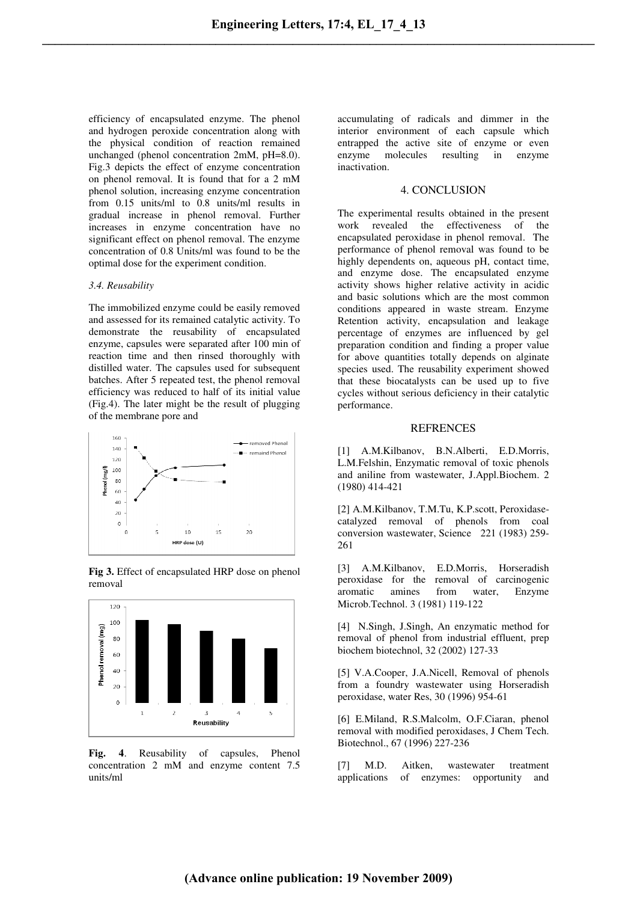efficiency of encapsulated enzyme. The phenol and hydrogen peroxide concentration along with the physical condition of reaction remained unchanged (phenol concentration 2mM, pH=8.0). Fig.3 depicts the effect of enzyme concentration on phenol removal. It is found that for a 2 mM phenol solution, increasing enzyme concentration from 0.15 units/ml to 0.8 units/ml results in gradual increase in phenol removal. Further increases in enzyme concentration have no significant effect on phenol removal. The enzyme concentration of 0.8 Units/ml was found to be the optimal dose for the experiment condition.

#### *3.4. Reusability*

The immobilized enzyme could be easily removed and assessed for its remained catalytic activity. To demonstrate the reusability of encapsulated enzyme, capsules were separated after 100 min of reaction time and then rinsed thoroughly with distilled water. The capsules used for subsequent batches. After 5 repeated test, the phenol removal efficiency was reduced to half of its initial value (Fig.4). The later might be the result of plugging of the membrane pore and



**Fig 3.** Effect of encapsulated HRP dose on phenol removal



**Fig. 4**. Reusability of capsules, Phenol concentration 2 mM and enzyme content 7.5 units/ml

accumulating of radicals and dimmer in the interior environment of each capsule which entrapped the active site of enzyme or even enzyme molecules resulting in enzyme inactivation.

## 4. CONCLUSION

The experimental results obtained in the present work revealed the effectiveness of the encapsulated peroxidase in phenol removal. The performance of phenol removal was found to be highly dependents on, aqueous pH, contact time, and enzyme dose. The encapsulated enzyme activity shows higher relative activity in acidic and basic solutions which are the most common conditions appeared in waste stream. Enzyme Retention activity, encapsulation and leakage percentage of enzymes are influenced by gel preparation condition and finding a proper value for above quantities totally depends on alginate species used. The reusability experiment showed that these biocatalysts can be used up to five cycles without serious deficiency in their catalytic performance.

# **REFRENCES**

[1] A.M.Kilbanov, B.N.Alberti, E.D.Morris, L.M.Felshin, Enzymatic removal of toxic phenols and aniline from wastewater, J.Appl.Biochem. 2 (1980) 414-421

[2] A.M.Kilbanov, T.M.Tu, K.P.scott, Peroxidasecatalyzed removal of phenols from coal conversion wastewater, Science 221 (1983) 259- 261

[3] A.M.Kilbanov, E.D.Morris, Horseradish peroxidase for the removal of carcinogenic aromatic amines from water, Enzyme Microb.Technol. 3 (1981) 119-122

[4] N.Singh, J.Singh, An enzymatic method for removal of phenol from industrial effluent, prep biochem biotechnol, 32 (2002) 127-33

[5] V.A.Cooper, J.A.Nicell, Removal of phenols from a foundry wastewater using Horseradish peroxidase, water Res, 30 (1996) 954-61

[6] E.Miland, R.S.Malcolm, O.F.Ciaran, phenol removal with modified peroxidases, J Chem Tech. Biotechnol., 67 (1996) 227-236

[7] M.D. Aitken, wastewater treatment applications of enzymes: opportunity and